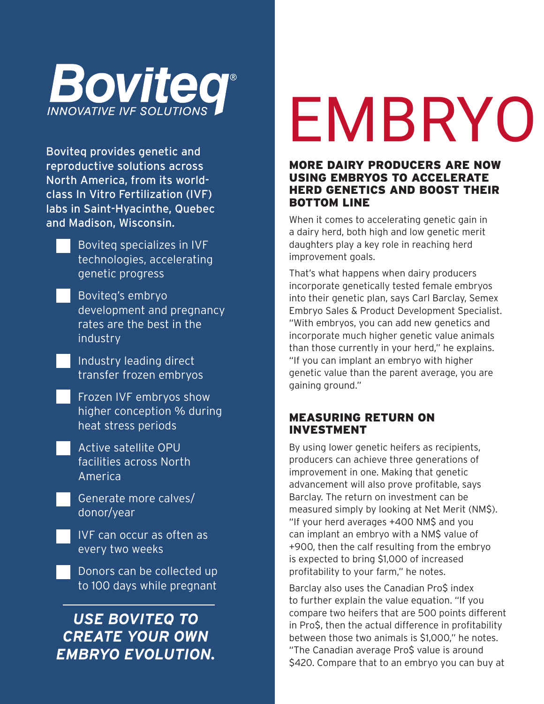

Boviteq provides genetic and reproductive solutions across North America, from its worldclass In Vitro Fertilization (IVF) labs in Saint-Hyacinthe, Quebec and Madison, Wisconsin.

- Boviteq specializes in IVF technologies, accelerating genetic progress
- Boviteq's embryo development and pregnancy rates are the best in the industry
- Industry leading direct transfer frozen embryos
- Frozen IVF embryos show higher conception % during heat stress periods
- Active satellite OPU facilities across North America
- Generate more calves/ donor/year
- IVF can occur as often as every two weeks
- Donors can be collected up to 100 days while pregnant

### *USE BOVITEQ TO CREATE YOUR OWN EMBRYO EVOLUTION.*

## EMBRYO

#### MORE DAIRY PRODUCERS ARE NOW USING EMBRYOS TO ACCELERATE HERD GENETICS AND BOOST THEIR BOTTOM LINE

When it comes to accelerating genetic gain in a dairy herd, both high and low genetic merit daughters play a key role in reaching herd improvement goals.

That's what happens when dairy producers incorporate genetically tested female embryos into their genetic plan, says Carl Barclay, Semex Embryo Sales & Product Development Specialist. "With embryos, you can add new genetics and incorporate much higher genetic value animals than those currently in your herd," he explains. "If you can implant an embryo with higher genetic value than the parent average, you are gaining ground."

#### MEASURING RETURN ON INVESTMENT

By using lower genetic heifers as recipients, producers can achieve three generations of improvement in one. Making that genetic advancement will also prove profitable, says Barclay. The return on investment can be measured simply by looking at Net Merit (NM\$). "If your herd averages +400 NM\$ and you can implant an embryo with a NM\$ value of +900, then the calf resulting from the embryo is expected to bring \$1,000 of increased profitability to your farm," he notes.

Barclay also uses the Canadian Pro\$ index to further explain the value equation. "If you compare two heifers that are 500 points different in Pro\$, then the actual difference in profitability between those two animals is \$1,000," he notes. "The Canadian average Pro\$ value is around \$420. Compare that to an embryo you can buy at